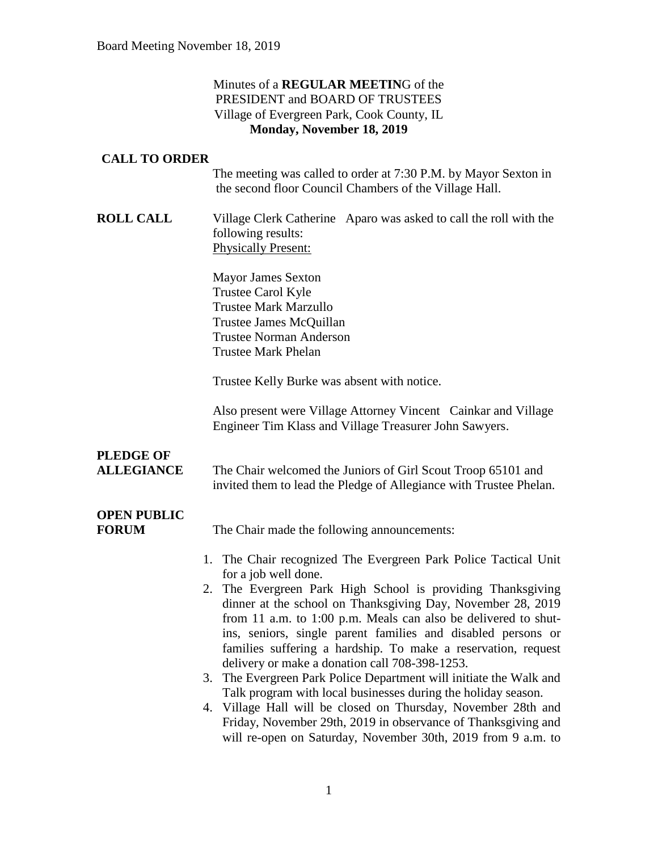#### Minutes of a **REGULAR MEETIN**G of the PRESIDENT and BOARD OF TRUSTEES Village of Evergreen Park, Cook County, IL **Monday, November 18, 2019**

#### **CALL TO ORDER**

The meeting was called to order at 7:30 P.M. by Mayor Sexton in the second floor Council Chambers of the Village Hall.

**ROLL CALL** Village Clerk Catherine Aparo was asked to call the roll with the following results: Physically Present:

> Mayor James Sexton Trustee Carol Kyle Trustee Mark Marzullo Trustee James McQuillan Trustee Norman Anderson Trustee Mark Phelan

Trustee Kelly Burke was absent with notice.

Also present were Village Attorney Vincent Cainkar and Village Engineer Tim Klass and Village Treasurer John Sawyers.

## **PLEDGE OF**

**ALLEGIANCE** The Chair welcomed the Juniors of Girl Scout Troop 65101 and invited them to lead the Pledge of Allegiance with Trustee Phelan.

## **OPEN PUBLIC**

**FORUM** The Chair made the following announcements:

- 1. The Chair recognized The Evergreen Park Police Tactical Unit for a job well done.
- 2. The Evergreen Park High School is providing Thanksgiving dinner at the school on Thanksgiving Day, November 28, 2019 from 11 a.m. to 1:00 p.m. Meals can also be delivered to shutins, seniors, single parent families and disabled persons or families suffering a hardship. To make a reservation, request delivery or make a donation call 708-398-1253.
- 3. The Evergreen Park Police Department will initiate the Walk and Talk program with local businesses during the holiday season.
- 4. Village Hall will be closed on Thursday, November 28th and Friday, November 29th, 2019 in observance of Thanksgiving and will re-open on Saturday, November 30th, 2019 from 9 a.m. to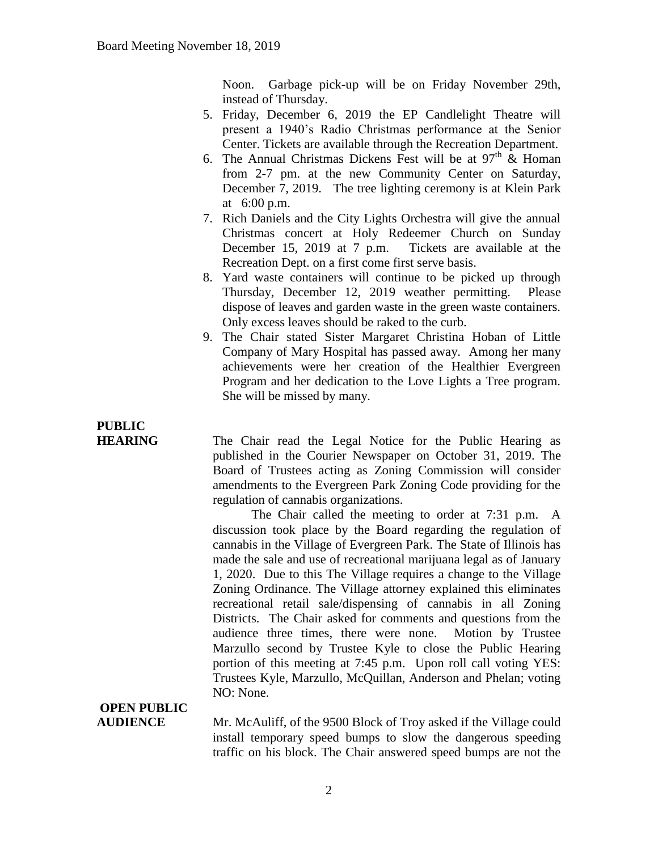Noon. Garbage pick-up will be on Friday November 29th, instead of Thursday.

- 5. Friday, December 6, 2019 the EP Candlelight Theatre will present a 1940's Radio Christmas performance at the Senior Center. Tickets are available through the Recreation Department.
- 6. The Annual Christmas Dickens Fest will be at  $97<sup>th</sup>$  & Homan from 2-7 pm. at the new Community Center on Saturday, December 7, 2019. The tree lighting ceremony is at Klein Park at 6:00 p.m.
- 7. Rich Daniels and the City Lights Orchestra will give the annual Christmas concert at Holy Redeemer Church on Sunday December 15, 2019 at 7 p.m. Tickets are available at the Recreation Dept. on a first come first serve basis.
- 8. Yard waste containers will continue to be picked up through Thursday, December 12, 2019 weather permitting. Please dispose of leaves and garden waste in the green waste containers. Only excess leaves should be raked to the curb.
- 9. The Chair stated Sister Margaret Christina Hoban of Little Company of Mary Hospital has passed away. Among her many achievements were her creation of the Healthier Evergreen Program and her dedication to the Love Lights a Tree program. She will be missed by many.

# **PUBLIC**

**HEARING** The Chair read the Legal Notice for the Public Hearing as published in the Courier Newspaper on October 31, 2019. The Board of Trustees acting as Zoning Commission will consider amendments to the Evergreen Park Zoning Code providing for the regulation of cannabis organizations.

The Chair called the meeting to order at 7:31 p.m. A discussion took place by the Board regarding the regulation of cannabis in the Village of Evergreen Park. The State of Illinois has made the sale and use of recreational marijuana legal as of January 1, 2020. Due to this The Village requires a change to the Village Zoning Ordinance. The Village attorney explained this eliminates recreational retail sale/dispensing of cannabis in all Zoning Districts. The Chair asked for comments and questions from the audience three times, there were none. Motion by Trustee Marzullo second by Trustee Kyle to close the Public Hearing portion of this meeting at 7:45 p.m. Upon roll call voting YES: Trustees Kyle, Marzullo, McQuillan, Anderson and Phelan; voting NO: None.

# **OPEN PUBLIC**

**AUDIENCE** Mr. McAuliff, of the 9500 Block of Troy asked if the Village could install temporary speed bumps to slow the dangerous speeding traffic on his block. The Chair answered speed bumps are not the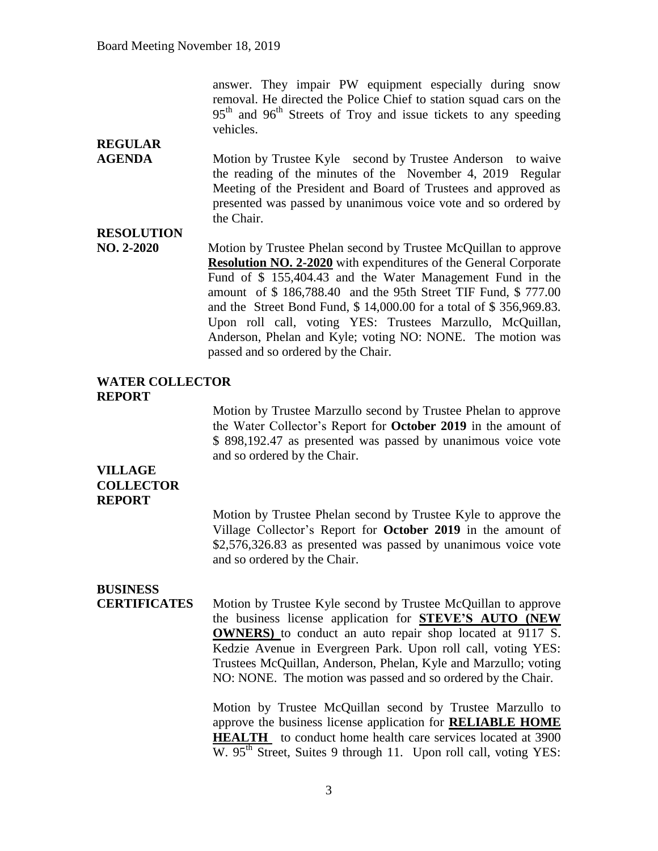answer. They impair PW equipment especially during snow removal. He directed the Police Chief to station squad cars on the 95<sup>th</sup> and 96<sup>th</sup> Streets of Troy and issue tickets to any speeding vehicles.

## **REGULAR**

AGENDA Motion by Trustee Kyle second by Trustee Anderson to waive the reading of the minutes of the November 4, 2019 Regular Meeting of the President and Board of Trustees and approved as presented was passed by unanimous voice vote and so ordered by the Chair.

#### **RESOLUTION**

**NO. 2-2020** Motion by Trustee Phelan second by Trustee McQuillan to approve **Resolution NO. 2-2020** with expenditures of the General Corporate Fund of \$ 155,404.43 and the Water Management Fund in the amount of \$ 186,788.40 and the 95th Street TIF Fund, \$ 777.00 and the Street Bond Fund, \$ 14,000.00 for a total of \$ 356,969.83. Upon roll call, voting YES: Trustees Marzullo, McQuillan, Anderson, Phelan and Kyle; voting NO: NONE. The motion was passed and so ordered by the Chair.

#### **WATER COLLECTOR REPORT**

Motion by Trustee Marzullo second by Trustee Phelan to approve the Water Collector's Report for **October 2019** in the amount of \$ 898,192.47 as presented was passed by unanimous voice vote and so ordered by the Chair.

#### **VILLAGE COLLECTOR REPORT**

Motion by Trustee Phelan second by Trustee Kyle to approve the Village Collector's Report for **October 2019** in the amount of \$2,576,326.83 as presented was passed by unanimous voice vote and so ordered by the Chair.

### **BUSINESS**

**CERTIFICATES** Motion by Trustee Kyle second by Trustee McQuillan to approve the business license application for **STEVE'S AUTO (NEW OWNERS)** to conduct an auto repair shop located at 9117 S. Kedzie Avenue in Evergreen Park. Upon roll call, voting YES: Trustees McQuillan, Anderson, Phelan, Kyle and Marzullo; voting NO: NONE. The motion was passed and so ordered by the Chair.

> Motion by Trustee McQuillan second by Trustee Marzullo to approve the business license application for **RELIABLE HOME HEALTH** to conduct home health care services located at 3900  $W. 95<sup>th</sup> Street$ , Suites 9 through 11. Upon roll call, voting YES: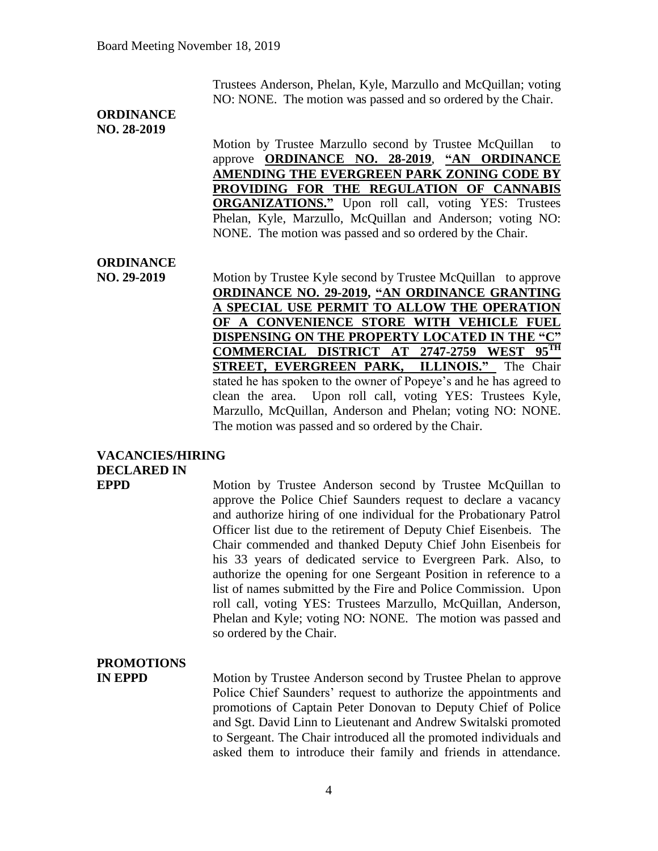Trustees Anderson, Phelan, Kyle, Marzullo and McQuillan; voting NO: NONE. The motion was passed and so ordered by the Chair.

#### **ORDINANCE NO. 28-2019**

Motion by Trustee Marzullo second by Trustee McQuillan to approve **ORDINANCE NO. 28-2019**, **"AN ORDINANCE AMENDING THE EVERGREEN PARK ZONING CODE BY PROVIDING FOR THE REGULATION OF CANNABIS ORGANIZATIONS."** Upon roll call, voting YES: Trustees Phelan, Kyle, Marzullo, McQuillan and Anderson; voting NO: NONE. The motion was passed and so ordered by the Chair.

### **ORDINANCE**

**NO. 29-2019** Motion by Trustee Kyle second by Trustee McQuillan to approve **ORDINANCE NO. 29-2019, "AN ORDINANCE GRANTING A SPECIAL USE PERMIT TO ALLOW THE OPERATION OF A CONVENIENCE STORE WITH VEHICLE FUEL DISPENSING ON THE PROPERTY LOCATED IN THE "C" COMMERCIAL DISTRICT AT 2747-2759 WEST 95TH STREET, EVERGREEN PARK, ILLINOIS."** The Chair stated he has spoken to the owner of Popeye's and he has agreed to clean the area. Upon roll call, voting YES: Trustees Kyle, Marzullo, McQuillan, Anderson and Phelan; voting NO: NONE. The motion was passed and so ordered by the Chair.

### **VACANCIES/HIRING DECLARED IN**

**EPPD** Motion by Trustee Anderson second by Trustee McQuillan to approve the Police Chief Saunders request to declare a vacancy and authorize hiring of one individual for the Probationary Patrol Officer list due to the retirement of Deputy Chief Eisenbeis. The Chair commended and thanked Deputy Chief John Eisenbeis for his 33 years of dedicated service to Evergreen Park. Also, to authorize the opening for one Sergeant Position in reference to a list of names submitted by the Fire and Police Commission. Upon roll call, voting YES: Trustees Marzullo, McQuillan, Anderson, Phelan and Kyle; voting NO: NONE. The motion was passed and so ordered by the Chair.

### **PROMOTIONS**

**IN EPPD** Motion by Trustee Anderson second by Trustee Phelan to approve Police Chief Saunders' request to authorize the appointments and promotions of Captain Peter Donovan to Deputy Chief of Police and Sgt. David Linn to Lieutenant and Andrew Switalski promoted to Sergeant. The Chair introduced all the promoted individuals and asked them to introduce their family and friends in attendance.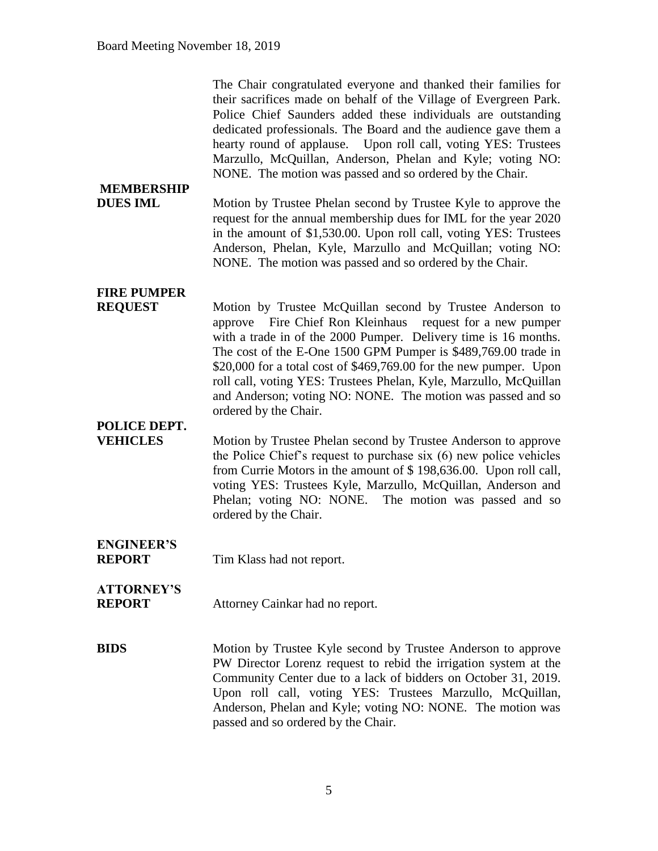| <b>MEMBERSHIP</b><br><b>DUES IML</b> | The Chair congratulated everyone and thanked their families for<br>their sacrifices made on behalf of the Village of Evergreen Park.<br>Police Chief Saunders added these individuals are outstanding<br>dedicated professionals. The Board and the audience gave them a<br>hearty round of applause. Upon roll call, voting YES: Trustees<br>Marzullo, McQuillan, Anderson, Phelan and Kyle; voting NO:<br>NONE. The motion was passed and so ordered by the Chair.<br>Motion by Trustee Phelan second by Trustee Kyle to approve the<br>request for the annual membership dues for IML for the year 2020 |
|--------------------------------------|------------------------------------------------------------------------------------------------------------------------------------------------------------------------------------------------------------------------------------------------------------------------------------------------------------------------------------------------------------------------------------------------------------------------------------------------------------------------------------------------------------------------------------------------------------------------------------------------------------|
|                                      | in the amount of \$1,530.00. Upon roll call, voting YES: Trustees<br>Anderson, Phelan, Kyle, Marzullo and McQuillan; voting NO:<br>NONE. The motion was passed and so ordered by the Chair.                                                                                                                                                                                                                                                                                                                                                                                                                |
| <b>FIRE PUMPER</b>                   |                                                                                                                                                                                                                                                                                                                                                                                                                                                                                                                                                                                                            |
| <b>REQUEST</b>                       | Motion by Trustee McQuillan second by Trustee Anderson to<br>approve Fire Chief Ron Kleinhaus<br>request for a new pumper<br>with a trade in of the 2000 Pumper. Delivery time is 16 months.<br>The cost of the E-One 1500 GPM Pumper is \$489,769.00 trade in<br>\$20,000 for a total cost of \$469,769.00 for the new pumper. Upon<br>roll call, voting YES: Trustees Phelan, Kyle, Marzullo, McQuillan<br>and Anderson; voting NO: NONE. The motion was passed and so<br>ordered by the Chair.                                                                                                          |
| POLICE DEPT.                         |                                                                                                                                                                                                                                                                                                                                                                                                                                                                                                                                                                                                            |
| <b>VEHICLES</b>                      | Motion by Trustee Phelan second by Trustee Anderson to approve<br>the Police Chief's request to purchase six (6) new police vehicles<br>from Currie Motors in the amount of \$198,636.00. Upon roll call,<br>voting YES: Trustees Kyle, Marzullo, McQuillan, Anderson and<br>Phelan; voting NO: NONE. The motion was passed and so<br>ordered by the Chair.                                                                                                                                                                                                                                                |
| <b>ENGINEER'S</b><br><b>REPORT</b>   | Tim Klass had not report.                                                                                                                                                                                                                                                                                                                                                                                                                                                                                                                                                                                  |
| <b>ATTORNEY'S</b><br><b>REPORT</b>   | Attorney Cainkar had no report.                                                                                                                                                                                                                                                                                                                                                                                                                                                                                                                                                                            |
| <b>BIDS</b>                          | Motion by Trustee Kyle second by Trustee Anderson to approve<br>PW Director Lorenz request to rebid the irrigation system at the<br>Community Center due to a lack of bidders on October 31, 2019.<br>Upon roll call, voting YES: Trustees Marzullo, McQuillan,                                                                                                                                                                                                                                                                                                                                            |

passed and so ordered by the Chair.

Anderson, Phelan and Kyle; voting NO: NONE. The motion was